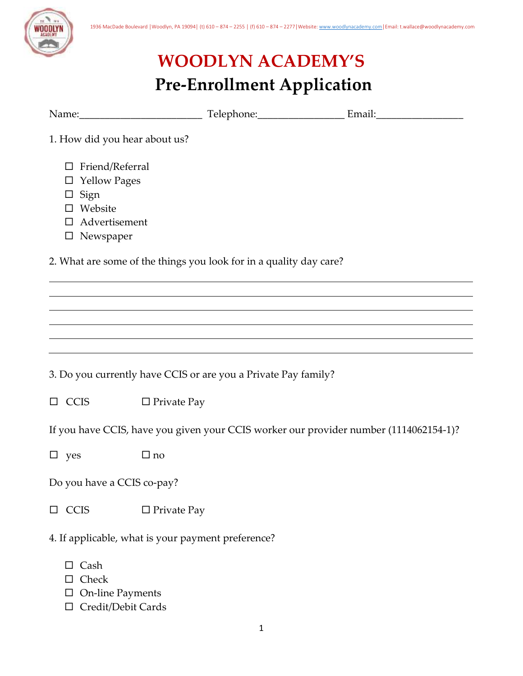

## **WOODLYN ACADEMY'S Pre-Enrollment Application**

| 1. How did you hear about us?                                                                                         |                    |                                                                                       |  |
|-----------------------------------------------------------------------------------------------------------------------|--------------------|---------------------------------------------------------------------------------------|--|
| Friend/Referral<br>$\Box$<br><b>Yellow Pages</b><br>ப<br>Sign<br>ப<br>Website<br>Advertisement<br>$\square$ Newspaper |                    |                                                                                       |  |
|                                                                                                                       |                    | 2. What are some of the things you look for in a quality day care?                    |  |
|                                                                                                                       |                    |                                                                                       |  |
|                                                                                                                       |                    |                                                                                       |  |
|                                                                                                                       |                    |                                                                                       |  |
|                                                                                                                       |                    | 3. Do you currently have CCIS or are you a Private Pay family?                        |  |
| <b>CCIS</b><br>$\Box$                                                                                                 | $\Box$ Private Pay |                                                                                       |  |
|                                                                                                                       |                    | If you have CCIS, have you given your CCIS worker our provider number (1114062154-1)? |  |
| $\square$ yes                                                                                                         | $\Box$ no          |                                                                                       |  |
| Do you have a CCIS co-pay?                                                                                            |                    |                                                                                       |  |
| <b>CCIS</b><br>$\Box$                                                                                                 | $\Box$ Private Pay |                                                                                       |  |
| 4. If applicable, what is your payment preference?                                                                    |                    |                                                                                       |  |
| Cash<br>Check                                                                                                         |                    |                                                                                       |  |

- $\hfill\Box$ <br> <br> On-line Payments
- □ Credit/Debit Cards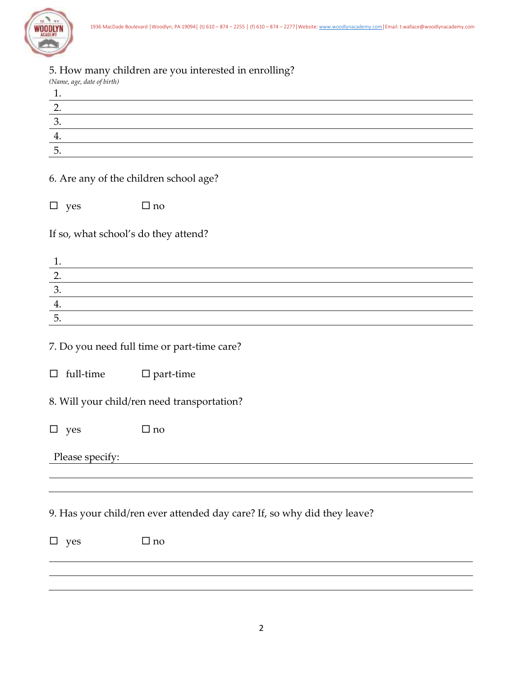

## 5. How many children are you interested in enrolling?

|                                      | 0. Trow many children are you interested in emounts. |
|--------------------------------------|------------------------------------------------------|
| (Name, age, date of birth)           |                                                      |
| 1.                                   |                                                      |
| $\overline{2}$ .                     |                                                      |
| $\overline{3}$ .                     |                                                      |
| 4.                                   |                                                      |
| $\overline{5}$ .                     |                                                      |
|                                      | 6. Are any of the children school age?               |
| $\Box$<br>yes                        | $\square$ no                                         |
| If so, what school's do they attend? |                                                      |
|                                      |                                                      |

| J.  |  |
|-----|--|
| . . |  |
|     |  |

7. Do you need full time or part-time care?

|  | $\Box$ full-time | $\square$ part-time |
|--|------------------|---------------------|
|--|------------------|---------------------|

8. Will your child/ren need transportation?

| E | <b>VAS</b> |  | $\sqcup$ no |
|---|------------|--|-------------|
|---|------------|--|-------------|

Please specify:

9. Has your child/ren ever attended day care? If, so why did they leave?

| $\square$ yes | $\Box$ no |
|---------------|-----------|
|               |           |
|               |           |